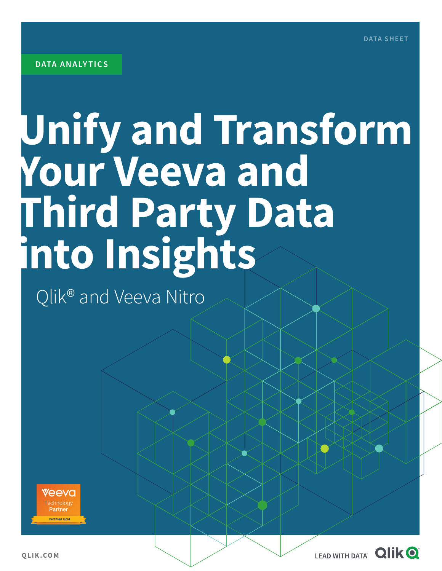# **Unify and Transform Your Veeva and Third Party Data into Insights**

Qlik® and Veeva Nitro



**QLIK.COM**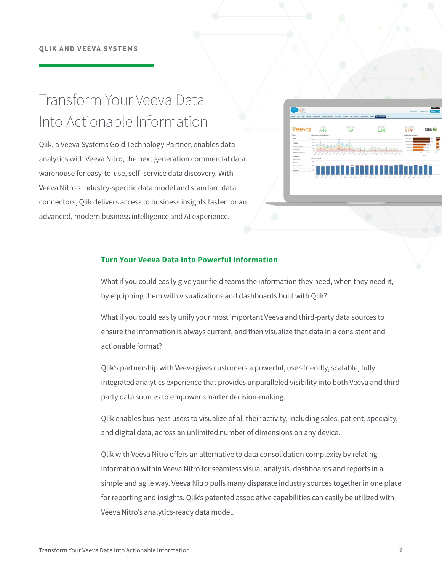### Transform Your Veeva Data Into Actionable Information

Qlik, a Veeva Systems Gold Technology Partner, enables data analytics with Veeva Nitro, the next generation commercial data warehouse for easy-to-use, self- service data discovery. With Veeva Nitro's industry-specific data model and standard data connectors, Qlik delivers access to business insights faster for an advanced, modern business intelligence and AI experience.



#### **Turn Your Veeva Data into Powerful Information**

What if you could easily give your field teams the information they need, when they need it, by equipping them with visualizations and dashboards built with Qlik?

What if you could easily unify your most important Veeva and third-party data sources to ensure the information is always current, and then visualize that data in a consistent and actionable format?

Qlik's partnership with Veeva gives customers a powerful, user-friendly, scalable, fully integrated analytics experience that provides unparalleled visibility into both Veeva and thirdparty data sources to empower smarter decision-making.

Qlik enables business users to visualize of all their activity, including sales, patient, specialty, and digital data, across an unlimited number of dimensions on any device.

Qlik with Veeva Nitro offers an alternative to data consolidation complexity by relating information within Veeva Nitro for seamless visual analysis, dashboards and reports in a simple and agile way. Veeva Nitro pulls many disparate industry sources together in one place for reporting and insights. Qlik's patented associative capabilities can easily be utilized with Veeva Nitro's analytics-ready data model.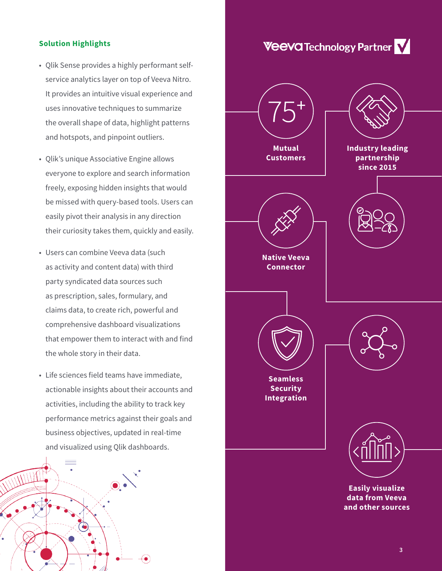#### **Solution Highlights**

- Qlik Sense provides a highly performant selfservice analytics layer on top of Veeva Nitro. It provides an intuitive visual experience and uses innovative techniques to summarize the overall shape of data, highlight patterns and hotspots, and pinpoint outliers.
- Qlik's unique Associative Engine allows everyone to explore and search information freely, exposing hidden insights that would be missed with query-based tools. Users can easily pivot their analysis in any direction their curiosity takes them, quickly and easily.
- Users can combine Veeva data (such as activity and content data) with third party syndicated data sources such as prescription, sales, formulary, and claims data, to create rich, powerful and comprehensive dashboard visualizations that empower them to interact with and find the whole story in their data.
- Life sciences field teams have immediate, actionable insights about their accounts and activities, including the ability to track key performance metrics against their goals and business objectives, updated in real-time and visualized using Qlik dashboards.



## **Veeva Technology Partner V**